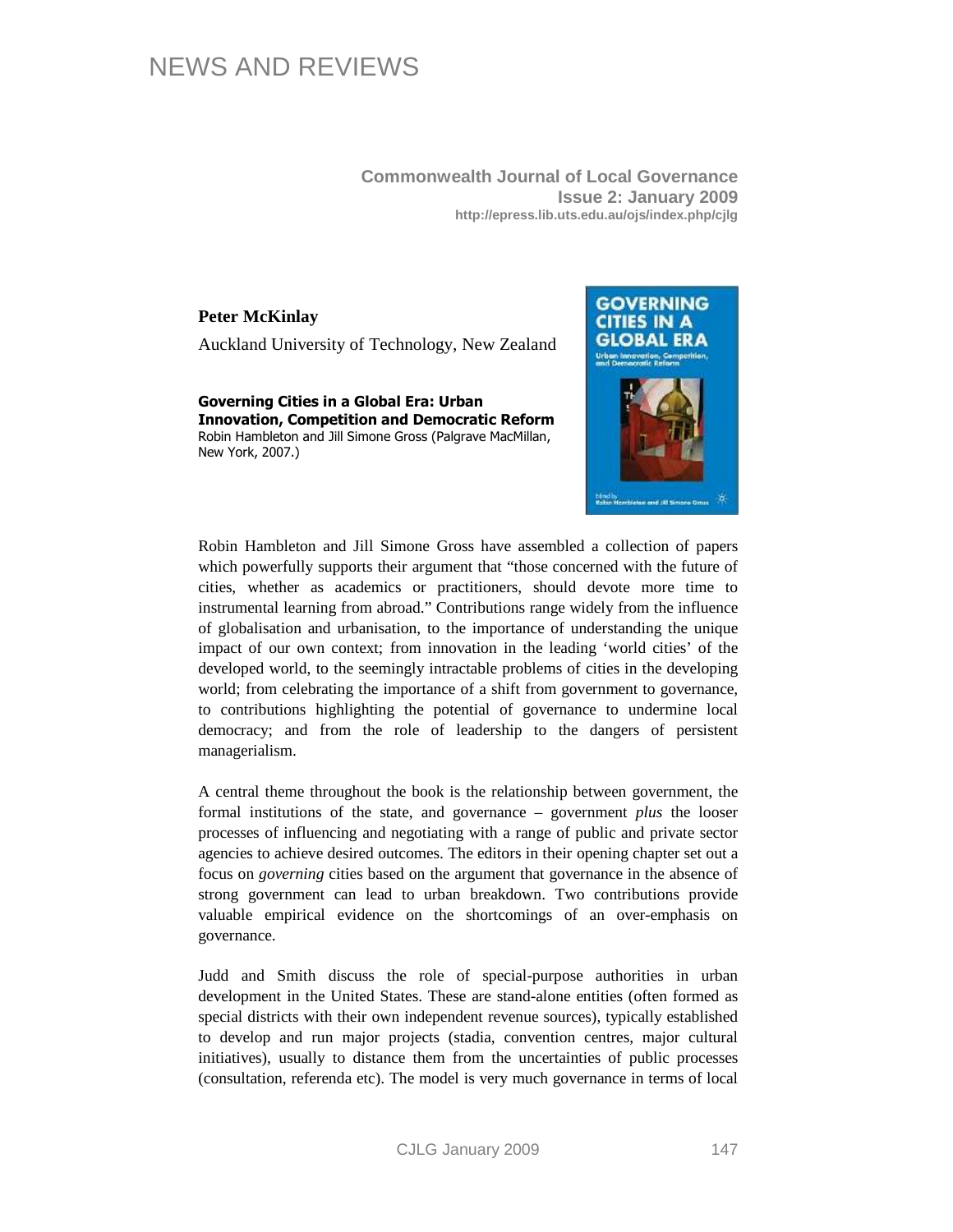## **Commonwealth Journal of Local Governance Issue 2: January 2009 http://epress.lib.uts.edu.au/ojs/index.php/cjlg**

## **Peter McKinlay**

Auckland University of Technology, New Zealand

**Governing Cities in a Global Era: Urban Innovation, Competition and Democratic Reform**  Robin Hambleton and Jill Simone Gross (Palgrave MacMillan, New York, 2007.)



Robin Hambleton and Jill Simone Gross have assembled a collection of papers which powerfully supports their argument that "those concerned with the future of cities, whether as academics or practitioners, should devote more time to instrumental learning from abroad." Contributions range widely from the influence of globalisation and urbanisation, to the importance of understanding the unique impact of our own context; from innovation in the leading 'world cities' of the developed world, to the seemingly intractable problems of cities in the developing world; from celebrating the importance of a shift from government to governance, to contributions highlighting the potential of governance to undermine local democracy; and from the role of leadership to the dangers of persistent managerialism.

A central theme throughout the book is the relationship between government, the formal institutions of the state, and governance – government *plus* the looser processes of influencing and negotiating with a range of public and private sector agencies to achieve desired outcomes. The editors in their opening chapter set out a focus on *governing* cities based on the argument that governance in the absence of strong government can lead to urban breakdown. Two contributions provide valuable empirical evidence on the shortcomings of an over-emphasis on governance.

Judd and Smith discuss the role of special-purpose authorities in urban development in the United States. These are stand-alone entities (often formed as special districts with their own independent revenue sources), typically established to develop and run major projects (stadia, convention centres, major cultural initiatives), usually to distance them from the uncertainties of public processes (consultation, referenda etc). The model is very much governance in terms of local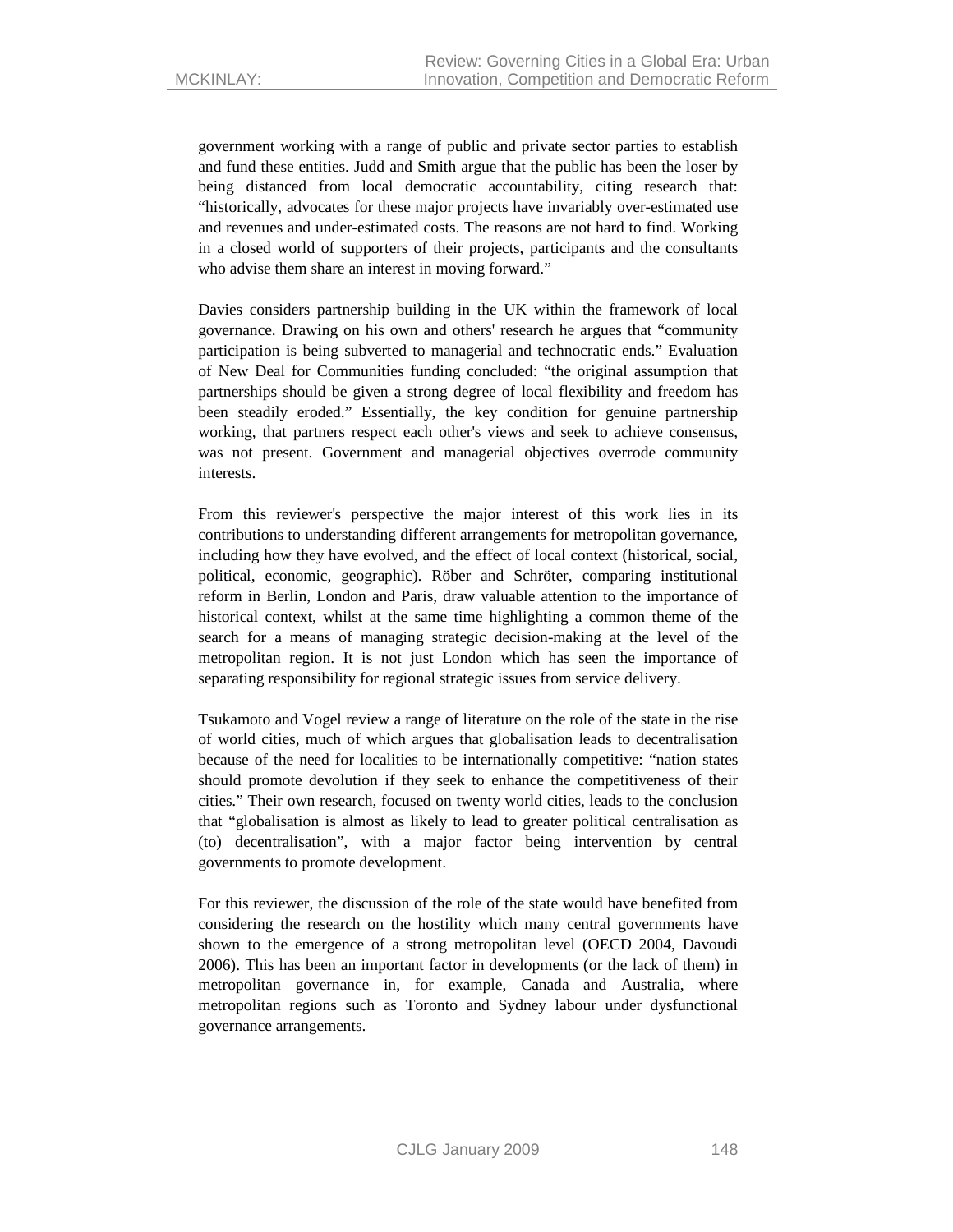government working with a range of public and private sector parties to establish and fund these entities. Judd and Smith argue that the public has been the loser by being distanced from local democratic accountability, citing research that: "historically, advocates for these major projects have invariably over-estimated use and revenues and under-estimated costs. The reasons are not hard to find. Working in a closed world of supporters of their projects, participants and the consultants who advise them share an interest in moving forward."

Davies considers partnership building in the UK within the framework of local governance. Drawing on his own and others' research he argues that "community participation is being subverted to managerial and technocratic ends." Evaluation of New Deal for Communities funding concluded: "the original assumption that partnerships should be given a strong degree of local flexibility and freedom has been steadily eroded." Essentially, the key condition for genuine partnership working, that partners respect each other's views and seek to achieve consensus, was not present. Government and managerial objectives overrode community interests.

From this reviewer's perspective the major interest of this work lies in its contributions to understanding different arrangements for metropolitan governance, including how they have evolved, and the effect of local context (historical, social, political, economic, geographic). Röber and Schröter, comparing institutional reform in Berlin, London and Paris, draw valuable attention to the importance of historical context, whilst at the same time highlighting a common theme of the search for a means of managing strategic decision-making at the level of the metropolitan region. It is not just London which has seen the importance of separating responsibility for regional strategic issues from service delivery.

Tsukamoto and Vogel review a range of literature on the role of the state in the rise of world cities, much of which argues that globalisation leads to decentralisation because of the need for localities to be internationally competitive: "nation states should promote devolution if they seek to enhance the competitiveness of their cities." Their own research, focused on twenty world cities, leads to the conclusion that "globalisation is almost as likely to lead to greater political centralisation as (to) decentralisation", with a major factor being intervention by central governments to promote development.

For this reviewer, the discussion of the role of the state would have benefited from considering the research on the hostility which many central governments have shown to the emergence of a strong metropolitan level (OECD 2004, Davoudi 2006). This has been an important factor in developments (or the lack of them) in metropolitan governance in, for example, Canada and Australia, where metropolitan regions such as Toronto and Sydney labour under dysfunctional governance arrangements.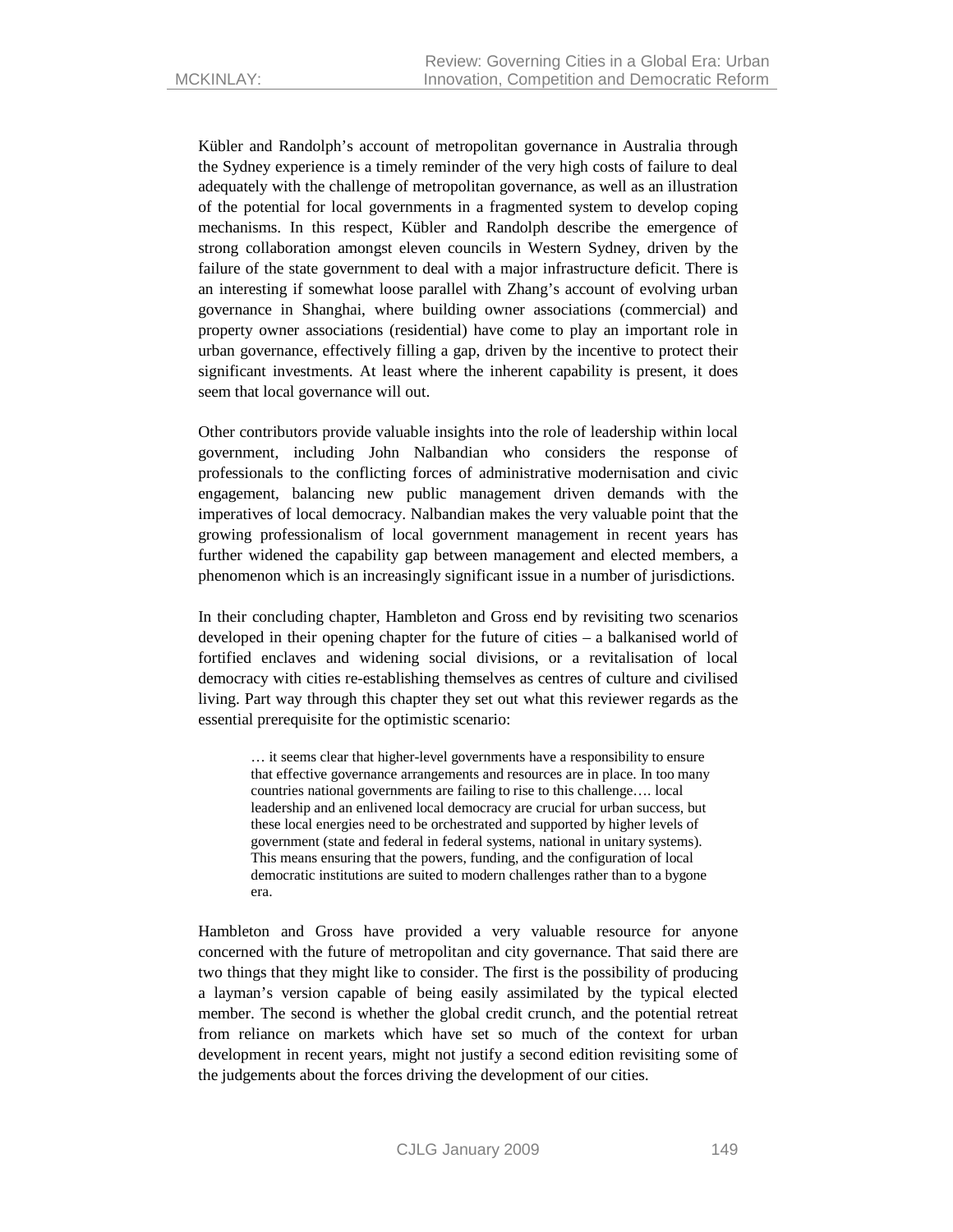Kübler and Randolph's account of metropolitan governance in Australia through the Sydney experience is a timely reminder of the very high costs of failure to deal adequately with the challenge of metropolitan governance, as well as an illustration of the potential for local governments in a fragmented system to develop coping mechanisms. In this respect, Kübler and Randolph describe the emergence of strong collaboration amongst eleven councils in Western Sydney, driven by the failure of the state government to deal with a major infrastructure deficit. There is an interesting if somewhat loose parallel with Zhang's account of evolving urban governance in Shanghai, where building owner associations (commercial) and property owner associations (residential) have come to play an important role in urban governance, effectively filling a gap, driven by the incentive to protect their significant investments. At least where the inherent capability is present, it does seem that local governance will out.

Other contributors provide valuable insights into the role of leadership within local government, including John Nalbandian who considers the response of professionals to the conflicting forces of administrative modernisation and civic engagement, balancing new public management driven demands with the imperatives of local democracy. Nalbandian makes the very valuable point that the growing professionalism of local government management in recent years has further widened the capability gap between management and elected members, a phenomenon which is an increasingly significant issue in a number of jurisdictions.

In their concluding chapter, Hambleton and Gross end by revisiting two scenarios developed in their opening chapter for the future of cities – a balkanised world of fortified enclaves and widening social divisions, or a revitalisation of local democracy with cities re-establishing themselves as centres of culture and civilised living. Part way through this chapter they set out what this reviewer regards as the essential prerequisite for the optimistic scenario:

… it seems clear that higher-level governments have a responsibility to ensure that effective governance arrangements and resources are in place. In too many countries national governments are failing to rise to this challenge…. local leadership and an enlivened local democracy are crucial for urban success, but these local energies need to be orchestrated and supported by higher levels of government (state and federal in federal systems, national in unitary systems). This means ensuring that the powers, funding, and the configuration of local democratic institutions are suited to modern challenges rather than to a bygone era.

Hambleton and Gross have provided a very valuable resource for anyone concerned with the future of metropolitan and city governance. That said there are two things that they might like to consider. The first is the possibility of producing a layman's version capable of being easily assimilated by the typical elected member. The second is whether the global credit crunch, and the potential retreat from reliance on markets which have set so much of the context for urban development in recent years, might not justify a second edition revisiting some of the judgements about the forces driving the development of our cities.